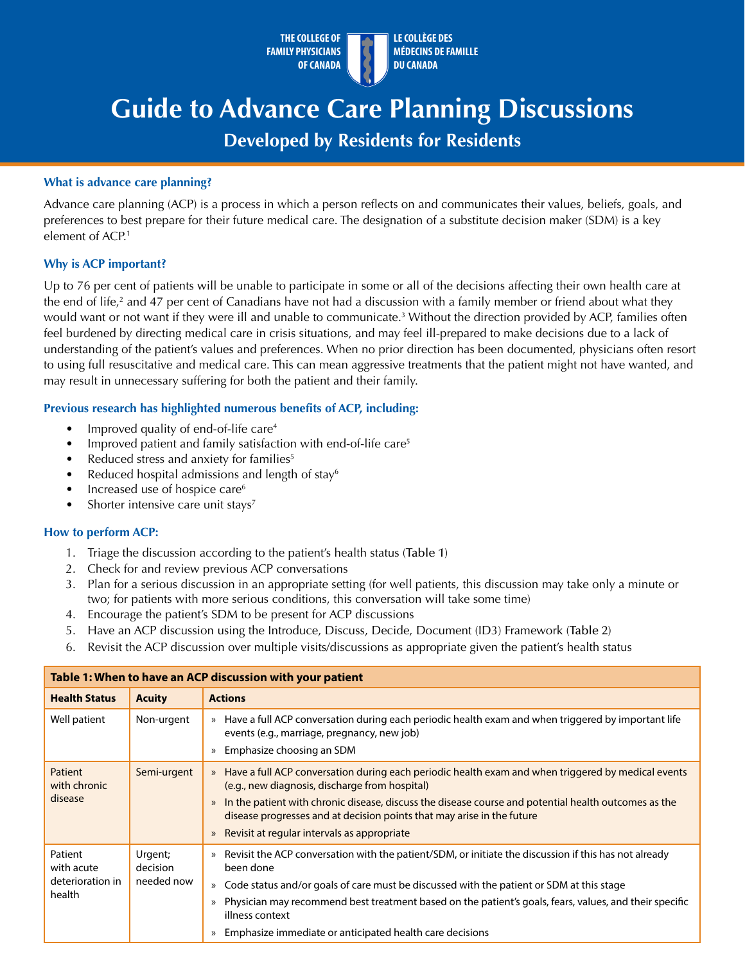

# **Guide to Advance Care Planning Discussions**

# **Developed by Residents for Residents**

## **What is advance care planning?**

Advance care planning (ACP) is a process in which a person reflects on and communicates their values, beliefs, goals, and preferences to best prepare for their future medical care. The designation of a substitute decision maker (SDM) is a key element of ACP.<sup>1</sup>

# **Why is ACP important?**

Up to 76 per cent of patients will be unable to participate in some or all of the decisions affecting their own health care at the end of life,<sup>2</sup> and 47 per cent of Canadians have not had a discussion with a family member or friend about what they would want or not want if they were ill and unable to communicate.3 Without the direction provided by ACP, families often feel burdened by directing medical care in crisis situations, and may feel ill-prepared to make decisions due to a lack of understanding of the patient's values and preferences. When no prior direction has been documented, physicians often resort to using full resuscitative and medical care. This can mean aggressive treatments that the patient might not have wanted, and may result in unnecessary suffering for both the patient and their family.

# **Previous research has highlighted numerous benefits of ACP, including:**

- Improved quality of end-of-life care4
- Improved patient and family satisfaction with end-of-life care<sup>5</sup>
- Reduced stress and anxiety for families<sup>5</sup>
- Reduced hospital admissions and length of stay $6$
- Increased use of hospice care<sup>6</sup>
- Shorter intensive care unit stays<sup>7</sup>

#### **How to perform ACP:**

- 1. Triage the discussion according to the patient's health status (Table 1)
- 2. Check for and review previous ACP conversations
- 3. Plan for a serious discussion in an appropriate setting (for well patients, this discussion may take only a minute or two; for patients with more serious conditions, this conversation will take some time)
- 4. Encourage the patient's SDM to be present for ACP discussions
- 5. Have an ACP discussion using the Introduce, Discuss, Decide, Document (ID3) Framework (Table 2)
- 6. Revisit the ACP discussion over multiple visits/discussions as appropriate given the patient's health status

| Table 1: When to have an ACP discussion with your patient |                                   |                                                                                                                                                                                                                                                                                                                                                                  |  |  |  |  |
|-----------------------------------------------------------|-----------------------------------|------------------------------------------------------------------------------------------------------------------------------------------------------------------------------------------------------------------------------------------------------------------------------------------------------------------------------------------------------------------|--|--|--|--|
| <b>Health Status</b>                                      | <b>Acuity</b>                     | <b>Actions</b>                                                                                                                                                                                                                                                                                                                                                   |  |  |  |  |
| Well patient                                              | Non-urgent                        | Have a full ACP conversation during each periodic health exam and when triggered by important life<br>$\rangle$<br>events (e.g., marriage, pregnancy, new job)<br>Emphasize choosing an SDM<br>$\gg$                                                                                                                                                             |  |  |  |  |
| Patient<br>with chronic<br>disease                        | Semi-urgent                       | Have a full ACP conversation during each periodic health exam and when triggered by medical events<br>$\mathcal{P}$<br>(e.g., new diagnosis, discharge from hospital)<br>In the patient with chronic disease, discuss the disease course and potential health outcomes as the<br>$\gg$<br>disease progresses and at decision points that may arise in the future |  |  |  |  |
|                                                           |                                   | Revisit at regular intervals as appropriate<br>$\gg$                                                                                                                                                                                                                                                                                                             |  |  |  |  |
| Patient<br>with acute<br>deterioration in<br>health       | Urgent;<br>decision<br>needed now | Revisit the ACP conversation with the patient/SDM, or initiate the discussion if this has not already<br>$\gg$<br>been done                                                                                                                                                                                                                                      |  |  |  |  |
|                                                           |                                   | Code status and/or goals of care must be discussed with the patient or SDM at this stage<br>$\mathcal{P}$                                                                                                                                                                                                                                                        |  |  |  |  |
|                                                           |                                   | Physician may recommend best treatment based on the patient's goals, fears, values, and their specific<br>$\mathcal{P}$<br>illness context                                                                                                                                                                                                                       |  |  |  |  |
|                                                           |                                   | Emphasize immediate or anticipated health care decisions<br>$\gg$                                                                                                                                                                                                                                                                                                |  |  |  |  |